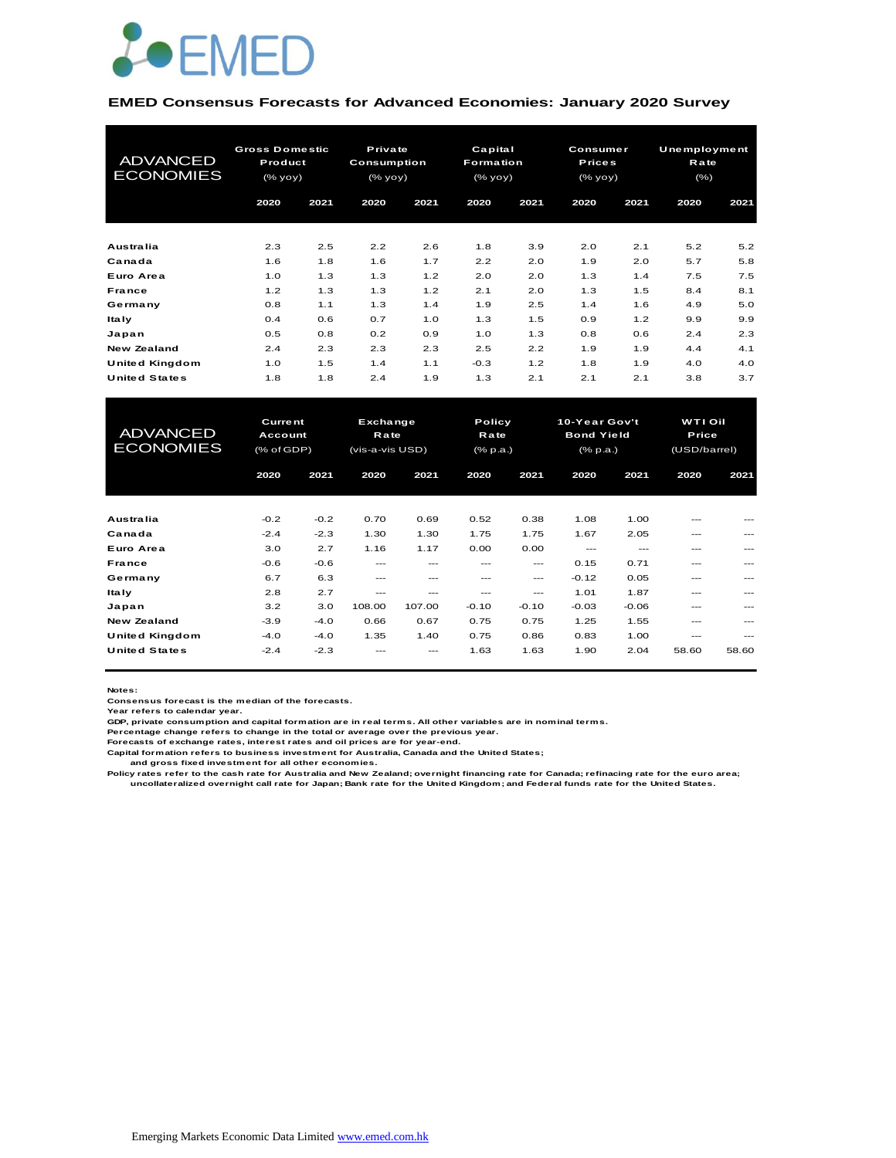

#### **EMED Consensus Forecasts for Advanced Economies: January 2020 Survey**

| <b>ADVANCED</b><br><b>ECONOMIES</b> | <b>Gross Domestic</b><br>Product<br>(% yoy) |      | Private<br><b>Consumption</b><br>(% yoy) |      | Capital<br><b>Formation</b><br>(% yoy) |      | Consumer<br><b>Prices</b><br>(% yoy) |      | <b>Unemployment</b><br>Rate<br>$(\% )$ |      |
|-------------------------------------|---------------------------------------------|------|------------------------------------------|------|----------------------------------------|------|--------------------------------------|------|----------------------------------------|------|
|                                     | 2020                                        | 2021 | 2020                                     | 2021 | 2020                                   | 2021 | 2020                                 | 2021 | 2020                                   | 2021 |
| Australia                           | 2.3                                         | 2.5  | 2.2                                      | 2.6  | 1.8                                    | 3.9  | 2.0                                  | 2.1  | 5.2                                    | 5.2  |
| Canada                              | 1.6                                         | 1.8  | 1.6                                      | 1.7  | 2.2                                    | 2.0  | 1.9                                  | 2.0  | 5.7                                    | 5.8  |
| Euro Area                           | 1.0                                         | 1.3  | 1.3                                      | 1.2  | 2.0                                    | 2.0  | 1.3                                  | 1.4  | 7.5                                    | 7.5  |
| France                              | 1.2                                         | 1.3  | 1.3                                      | 1.2  | 2.1                                    | 2.0  | 1.3                                  | 1.5  | 8.4                                    | 8.1  |
| Germany                             | 0.8                                         | 1.1  | 1.3                                      | 1.4  | 1.9                                    | 2.5  | 1.4                                  | 1.6  | 4.9                                    | 5.0  |
| <b>Italy</b>                        | 0.4                                         | 0.6  | 0.7                                      | 1.0  | 1.3                                    | 1.5  | 0.9                                  | 1.2  | 9.9                                    | 9.9  |
| Japan                               | 0.5                                         | 0.8  | 0.2                                      | 0.9  | 1.0                                    | 1.3  | 0.8                                  | 0.6  | 2.4                                    | 2.3  |
| New Zealand                         | 2.4                                         | 2.3  | 2.3                                      | 2.3  | 2.5                                    | 2.2  | 1.9                                  | 1.9  | 4.4                                    | 4.1  |
| United Kingdom                      | 1.0                                         | 1.5  | 1.4                                      | 1.1  | $-0.3$                                 | 1.2  | 1.8                                  | 1.9  | 4.0                                    | 4.0  |
| <b>United States</b>                | 1.8                                         | 1.8  | 2.4                                      | 1.9  | 1.3                                    | 2.1  | 2.1                                  | 2.1  | 3.8                                    | 3.7  |

| United Kingdom       | 1.0               | 1.5    | 1.4             | 1.1     | $-0.3$   | 1.2     | 1.8               | 1.9     | 4.0                          | 4.0   |  |  |
|----------------------|-------------------|--------|-----------------|---------|----------|---------|-------------------|---------|------------------------------|-------|--|--|
| <b>United States</b> | 1.8               | 1.8    | 2.4             | 1.9     | 1.3      | 2.1     | 2.1               | 2.1     | 3.8                          | 3.7   |  |  |
|                      |                   |        |                 |         |          |         |                   |         |                              |       |  |  |
|                      |                   |        |                 |         |          |         |                   |         |                              |       |  |  |
|                      | <b>Current</b>    |        | Exchange        |         | Policy   |         | 10-Year Gov't     |         | <b>WTI Oil</b>               |       |  |  |
| <b>ADVANCED</b>      | Account           |        | <b>Rate</b>     |         | Rate     |         | <b>Bond Yield</b> |         | Price                        |       |  |  |
| <b>ECONOMIES</b>     | $(%$ $(*$ of GDP) |        | (vis-a-vis USD) |         | (% p.a.) |         | (% p.a.)          |         | (USD/barrel)<br>2020<br>2021 |       |  |  |
|                      | 2020              | 2021   | 2020            | 2021    | 2020     | 2021    | 2020              | 2021    |                              |       |  |  |
|                      |                   |        |                 |         |          |         |                   |         |                              |       |  |  |
|                      |                   |        |                 |         |          |         |                   |         |                              |       |  |  |
| Australia            | $-0.2$            | $-0.2$ | 0.70            | 0.69    | 0.52     | 0.38    | 1.08              | 1.00    |                              |       |  |  |
| Canada               | $-2.4$            | $-2.3$ | 1.30            | 1.30    | 1.75     | 1.75    | 1.67              | 2.05    | ---                          |       |  |  |
| Euro Area            | 3.0               | 2.7    | 1.16            | 1.17    | 0.00     | 0.00    | $---$             | $---$   | ---                          | ---   |  |  |
| <b>France</b>        | $-0.6$            | $-0.6$ | $---$           | ---     | ---      | $---$   | 0.15              | 0.71    | ---                          |       |  |  |
| Germany              | 6.7               | 6.3    | $---$           | $- - -$ | $- - -$  | ---     | $-0.12$           | 0.05    | ---                          | ---   |  |  |
| <b>Italy</b>         | 2.8               | 2.7    | $- - -$         | ---     | ---      | ---     | 1.01              | 1.87    | ---                          |       |  |  |
| Japan                | 3.2               | 3.0    | 108.00          | 107.00  | $-0.10$  | $-0.10$ | $-0.03$           | $-0.06$ | ---                          | ---   |  |  |
| <b>New Zealand</b>   | $-3.9$            | $-4.0$ | 0.66            | 0.67    | 0.75     | 0.75    | 1.25              | 1.55    | ---                          |       |  |  |
| United Kingdom       | $-4.0$            | $-4.0$ | 1.35            | 1.40    | 0.75     | 0.86    | 0.83              | 1.00    | ---                          | ---   |  |  |
| <b>United States</b> | $-2.4$            | $-2.3$ |                 |         | 1.63     | 1.63    | 1.90              | 2.04    | 58.60                        | 58.60 |  |  |
|                      |                   |        |                 |         |          |         |                   |         |                              |       |  |  |

**Notes:** 

**Consensus forecast is the median of the forecasts. Year refers to calendar year.**

**GDP, private consumption and capital formation are in real terms. All other variables are in nominal terms.**

**Percentage change refers to change in the total or average over the previous year. Forecasts of exchange rates, interest rates and oil prices are for year-end.**

**Capital formation refers to business investment for Australia, Canada and the United States;**

 **and gross fixed investment for all other economies.**

Policy rates refer to the cash rate for Australia and New Zealand; overnight financing rate for Canada; refinacing rate for the euro area;<br>uncollateralized overnight call rate for Japan; Bank rate for the United Kingdom; a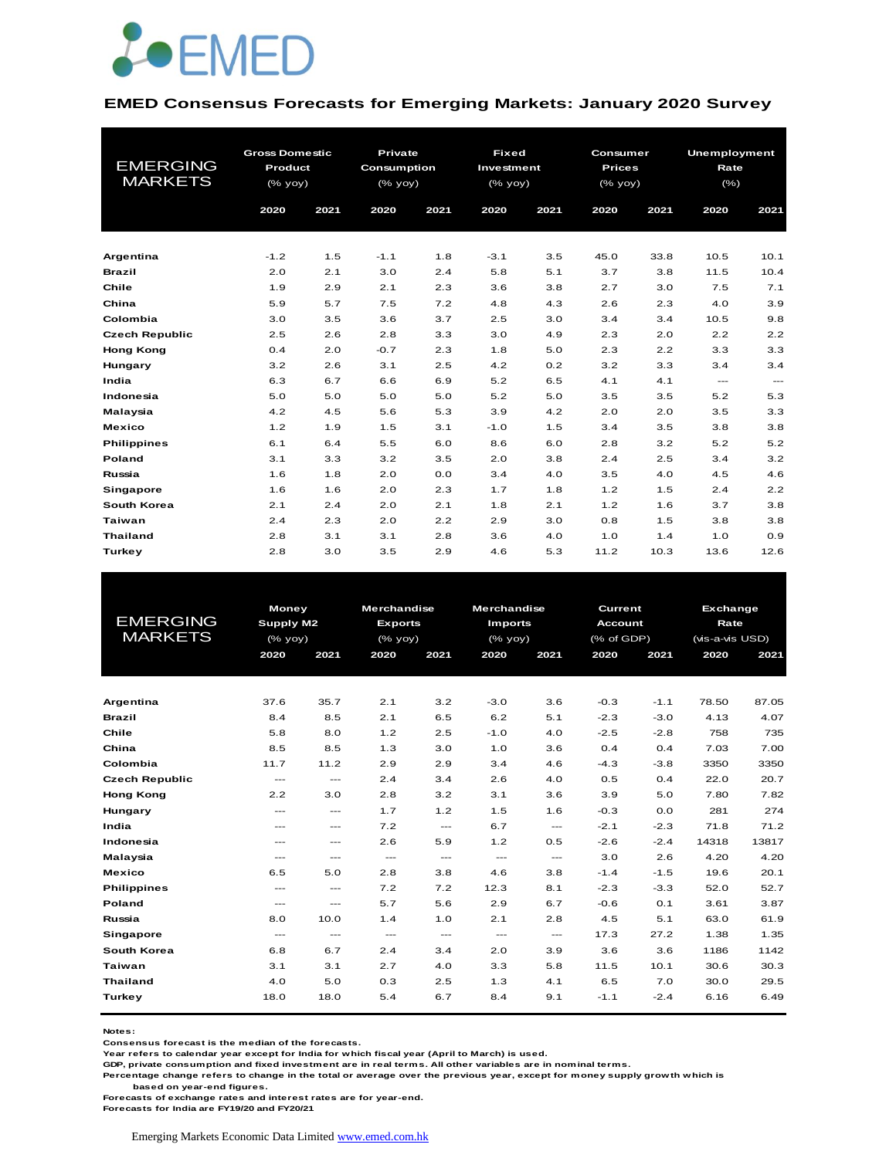

#### **EMED Consensus Forecasts for Emerging Markets: January 2020 Survey**

| <b>EMERGING</b><br><b>MARKETS</b> | <b>Gross Domestic</b><br>Product<br>(% yoy) |      |        | Private<br>Consumption<br>$(%$ (% yoy) |        | <b>Fixed</b><br>Investment<br>(% yoy) |      | Consumer<br><b>Prices</b><br>(% yoy) |               | <b>Unemployment</b><br>Rate<br>$(\% )$ |
|-----------------------------------|---------------------------------------------|------|--------|----------------------------------------|--------|---------------------------------------|------|--------------------------------------|---------------|----------------------------------------|
|                                   | 2020                                        | 2021 | 2020   | 2021                                   | 2020   | 2021                                  | 2020 | 2021                                 | 2020          | 2021                                   |
|                                   |                                             |      |        |                                        |        |                                       |      |                                      |               |                                        |
| Argentina                         | $-1.2$                                      | 1.5  | $-1.1$ | 1.8                                    | $-3.1$ | 3.5                                   | 45.0 | 33.8                                 | 10.5          | 10.1                                   |
| <b>Brazil</b>                     | 2.0                                         | 2.1  | 3.0    | 2.4                                    | 5.8    | 5.1                                   | 3.7  | 3.8                                  | 11.5          | 10.4                                   |
| Chile                             | 1.9                                         | 2.9  | 2.1    | 2.3                                    | 3.6    | 3.8                                   | 2.7  | 3.0                                  | 7.5           | 7.1                                    |
| China                             | 5.9                                         | 5.7  | 7.5    | 7.2                                    | 4.8    | 4.3                                   | 2.6  | 2.3                                  | 4.0           | 3.9                                    |
| Colombia                          | 3.0                                         | 3.5  | 3.6    | 3.7                                    | 2.5    | 3.0                                   | 3.4  | 3.4                                  | 10.5          | 9.8                                    |
| <b>Czech Republic</b>             | 2.5                                         | 2.6  | 2.8    | 3.3                                    | 3.0    | 4.9                                   | 2.3  | 2.0                                  | 2.2           | 2.2                                    |
| <b>Hong Kong</b>                  | 0.4                                         | 2.0  | $-0.7$ | 2.3                                    | 1.8    | 5.0                                   | 2.3  | 2.2                                  | 3.3           | 3.3                                    |
| Hungary                           | 3.2                                         | 2.6  | 3.1    | 2.5                                    | 4.2    | 0.2                                   | 3.2  | 3.3                                  | 3.4           | 3.4                                    |
| India                             | 6.3                                         | 6.7  | 6.6    | 6.9                                    | 5.2    | 6.5                                   | 4.1  | 4.1                                  | $\frac{1}{2}$ | $\cdots$                               |
| Indonesia                         | 5.0                                         | 5.0  | 5.0    | 5.0                                    | 5.2    | 5.0                                   | 3.5  | 3.5                                  | 5.2           | 5.3                                    |
| Malaysia                          | 4.2                                         | 4.5  | 5.6    | 5.3                                    | 3.9    | 4.2                                   | 2.0  | 2.0                                  | 3.5           | 3.3                                    |
| <b>Mexico</b>                     | 1.2                                         | 1.9  | 1.5    | 3.1                                    | $-1.0$ | 1.5                                   | 3.4  | 3.5                                  | 3.8           | 3.8                                    |
| <b>Philippines</b>                | 6.1                                         | 6.4  | 5.5    | 6.0                                    | 8.6    | 6.0                                   | 2.8  | 3.2                                  | 5.2           | 5.2                                    |
| Poland                            | 3.1                                         | 3.3  | 3.2    | 3.5                                    | 2.0    | 3.8                                   | 2.4  | 2.5                                  | 3.4           | 3.2                                    |
| Russia                            | 1.6                                         | 1.8  | 2.0    | 0.0                                    | 3.4    | 4.0                                   | 3.5  | 4.0                                  | 4.5           | 4.6                                    |
| Singapore                         | 1.6                                         | 1.6  | 2.0    | 2.3                                    | 1.7    | 1.8                                   | 1.2  | 1.5                                  | 2.4           | 2.2                                    |
| South Korea                       | 2.1                                         | 2.4  | 2.0    | 2.1                                    | 1.8    | 2.1                                   | 1.2  | 1.6                                  | 3.7           | 3.8                                    |
| <b>Taiwan</b>                     | 2.4                                         | 2.3  | 2.0    | 2.2                                    | 2.9    | 3.0                                   | 0.8  | 1.5                                  | 3.8           | 3.8                                    |
| <b>Thailand</b>                   | 2.8                                         | 3.1  | 3.1    | 2.8                                    | 3.6    | 4.0                                   | 1.0  | 1.4                                  | 1.0           | 0.9                                    |
| Turkey                            | 2.8                                         | 3.0  | 3.5    | 2.9                                    | 4.6    | 5.3                                   | 11.2 | 10.3                                 | 13.6          | 12.6                                   |

|                       | <b>Money</b> |                        | <b>Merchandise</b> |               | <b>Merchandise</b>  |                                     | Current    |        | <b>Exchange</b> |       |
|-----------------------|--------------|------------------------|--------------------|---------------|---------------------|-------------------------------------|------------|--------|-----------------|-------|
| <b>EMERGING</b>       | Supply M2    |                        | <b>Exports</b>     |               | <b>Imports</b>      |                                     | Account    |        | Rate            |       |
| <b>MARKETS</b>        | (% yoy)      |                        | (% yoy)            |               | $(\frac{9}{6}$ yoy) |                                     | (% of GDP) |        | (vis-a-vis USD) |       |
|                       | 2020         | 2021                   | 2020               | 2021          | 2020                | 2021                                | 2020       | 2021   | 2020            | 2021  |
|                       |              |                        |                    |               |                     |                                     |            |        |                 |       |
|                       |              |                        |                    |               |                     |                                     |            |        |                 |       |
| Argentina             | 37.6         | 35.7                   | 2.1                | 3.2           | $-3.0$              | 3.6                                 | $-0.3$     | $-1.1$ | 78.50           | 87.05 |
| <b>Brazil</b>         | 8.4          | 8.5                    | 2.1                | 6.5           | 6.2                 | 5.1                                 | $-2.3$     | $-3.0$ | 4.13            | 4.07  |
| Chile                 | 5.8          | 8.0                    | 1.2                | 2.5           | $-1.0$              | 4.0                                 | $-2.5$     | $-2.8$ | 758             | 735   |
| China                 | 8.5          | 8.5                    | 1.3                | 3.0           | 1.0                 | 3.6                                 | 0.4        | 0.4    | 7.03            | 7.00  |
| Colombia              | 11.7         | 11.2                   | 2.9                | 2.9           | 3.4                 | 4.6                                 | $-4.3$     | $-3.8$ | 3350            | 3350  |
| <b>Czech Republic</b> | $\cdots$     | $\cdots$               | 2.4                | 3.4           | 2.6                 | 4.0                                 | 0.5        | 0.4    | 22.0            | 20.7  |
| <b>Hong Kong</b>      | 2.2          | 3.0                    | 2.8                | 3.2           | 3.1                 | 3.6                                 | 3.9        | 5.0    | 7.80            | 7.82  |
| Hungary               | $---$        | $---$                  | 1.7                | 1.2           | 1.5                 | 1.6                                 | $-0.3$     | 0.0    | 281             | 274   |
| India                 | $---$        | $\qquad \qquad -$      | 7.2                | $\frac{1}{2}$ | 6.7                 | $\frac{1}{2}$                       | $-2.1$     | $-2.3$ | 71.8            | 71.2  |
| Indonesia             | $---$        | $\frac{1}{2}$          | 2.6                | 5.9           | 1.2                 | 0.5                                 | $-2.6$     | $-2.4$ | 14318           | 13817 |
| Malaysia              | $---$        | ---                    | $---$              | $\frac{1}{2}$ | $---$               | $\frac{1}{2}$                       | 3.0        | 2.6    | 4.20            | 4.20  |
| <b>Mexico</b>         | 6.5          | 5.0                    | 2.8                | 3.8           | 4.6                 | 3.8                                 | $-1.4$     | $-1.5$ | 19.6            | 20.1  |
| <b>Philippines</b>    | $---$        | $\cdots$               | 7.2                | 7.2           | 12.3                | 8.1                                 | $-2.3$     | $-3.3$ | 52.0            | 52.7  |
| Poland                | $---$        | $---$                  | 5.7                | 5.6           | 2.9                 | 6.7                                 | $-0.6$     | 0.1    | 3.61            | 3.87  |
| Russia                | 8.0          | 10.0                   | 1.4                | 1.0           | 2.1                 | 2.8                                 | 4.5        | 5.1    | 63.0            | 61.9  |
| Singapore             | ---          | $\qquad \qquad \cdots$ | $\cdots$           | $\cdots$      | ---                 | $\hspace{0.05cm}---\hspace{0.05cm}$ | 17.3       | 27.2   | 1.38            | 1.35  |
| South Korea           | 6.8          | 6.7                    | 2.4                | 3.4           | 2.0                 | 3.9                                 | 3.6        | 3.6    | 1186            | 1142  |
| Taiwan                | 3.1          | 3.1                    | 2.7                | 4.0           | 3.3                 | 5.8                                 | 11.5       | 10.1   | 30.6            | 30.3  |
| <b>Thailand</b>       | 4.0          | 5.0                    | 0.3                | 2.5           | 1.3                 | 4.1                                 | 6.5        | 7.0    | 30.0            | 29.5  |
| Turkey                | 18.0         | 18.0                   | 5.4                | 6.7           | 8.4                 | 9.1                                 | $-1.1$     | $-2.4$ | 6.16            | 6.49  |
|                       |              |                        |                    |               |                     |                                     |            |        |                 |       |

**Notes:** 

**Consensus forecast is the median of the forecasts.**

**Year refers to calendar year except for India for which fiscal year (April to March) is used.**

**GDP, private consumption and fixed investment are in real terms. All other variables are in nominal terms.**

**Percentage change refers to change in the total or average over the previous year, except for money supply growth which is** 

 **based on year-end figures.**

**Forecasts of exchange rates and interest rates are for year-end.**

**Forecasts for India are FY19/20 and FY20/21**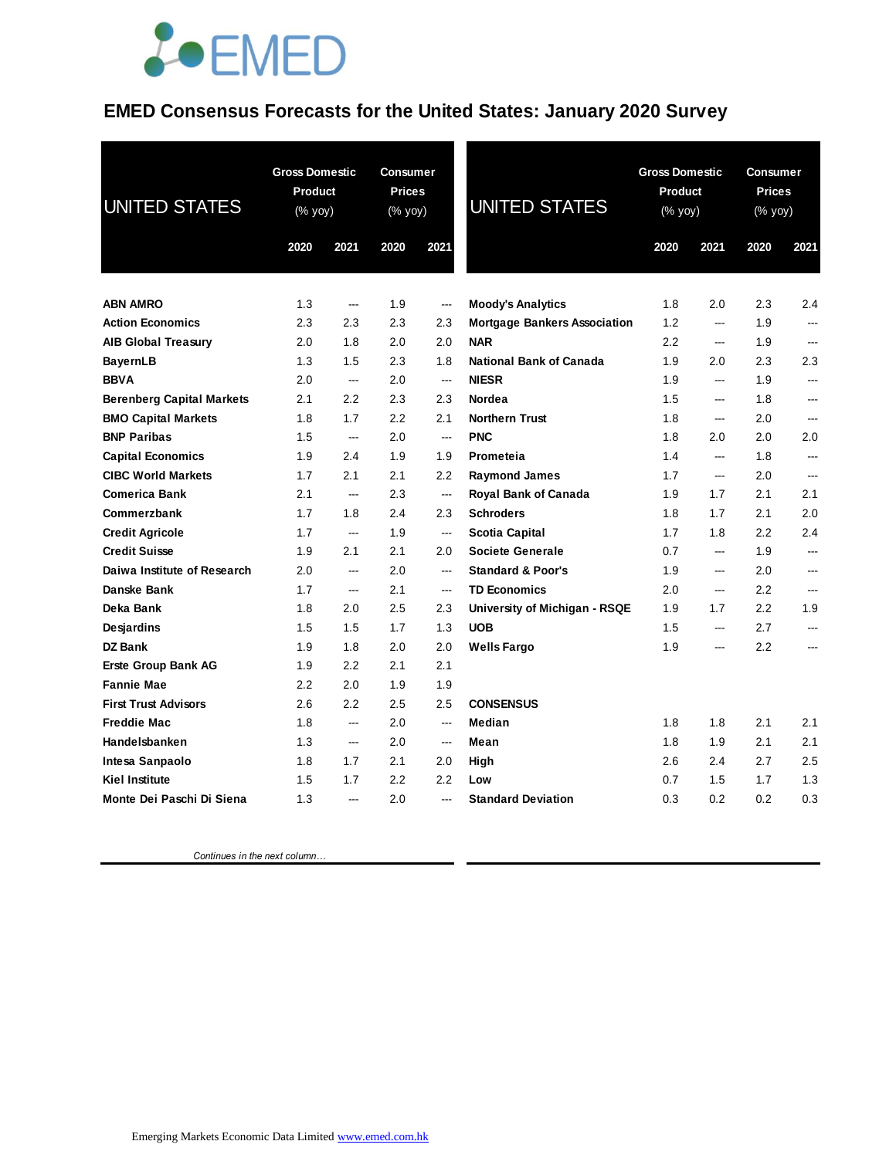## **JOEMED**

#### **EMED Consensus Forecasts for the United States: January 2020 Survey**

| <b>UNITED STATES</b>                             | <b>Gross Domestic</b><br>Product<br>(% yoy)<br>2020<br>2021 |                          | <b>Consumer</b><br><b>Prices</b><br>(% yoy)<br>2020 | 2021                     | <b>UNITED STATES</b>                           | <b>Gross Domestic</b><br>Product<br>(% yoy)<br>2020 | 2021              | <b>Consumer</b><br><b>Prices</b><br>(% yoy)<br>2020 | 2021          |
|--------------------------------------------------|-------------------------------------------------------------|--------------------------|-----------------------------------------------------|--------------------------|------------------------------------------------|-----------------------------------------------------|-------------------|-----------------------------------------------------|---------------|
|                                                  |                                                             |                          |                                                     |                          |                                                |                                                     |                   |                                                     |               |
|                                                  |                                                             |                          |                                                     |                          |                                                |                                                     |                   |                                                     |               |
| <b>ABN AMRO</b>                                  | 1.3                                                         | ---                      | 1.9                                                 | $\overline{\phantom{a}}$ | <b>Moody's Analytics</b>                       | 1.8                                                 | 2.0               | 2.3                                                 | 2.4           |
| <b>Action Economics</b>                          | 2.3                                                         | 2.3                      | 2.3                                                 | 2.3                      | <b>Mortgage Bankers Association</b>            | 1.2                                                 | ---               | 1.9                                                 | ---           |
| <b>AIB Global Treasury</b>                       | 2.0                                                         | 1.8                      | 2.0                                                 | 2.0                      | <b>NAR</b>                                     | 2.2                                                 | ---               | 1.9                                                 | ---           |
| BayernLB                                         | 1.3                                                         | 1.5                      | 2.3                                                 | 1.8                      | <b>National Bank of Canada</b><br><b>NIESR</b> | 1.9                                                 | 2.0               | 2.3                                                 | 2.3           |
| <b>BBVA</b>                                      | 2.0                                                         | ---                      | 2.0                                                 | $\overline{\phantom{a}}$ | Nordea                                         | 1.9                                                 | ---               | 1.9                                                 | ---<br>$\sim$ |
| <b>Berenberg Capital Markets</b>                 | 2.1<br>1.8                                                  | 2.2<br>1.7               | 2.3<br>$2.2\,$                                      | 2.3<br>2.1               | <b>Northern Trust</b>                          | 1.5<br>1.8                                          | ---<br>---        | 1.8<br>2.0                                          | ---           |
| <b>BMO Capital Markets</b><br><b>BNP Paribas</b> | 1.5                                                         | $\overline{a}$           | 2.0                                                 | $\overline{\phantom{a}}$ | <b>PNC</b>                                     | 1.8                                                 | 2.0               | 2.0                                                 | 2.0           |
| <b>Capital Economics</b>                         | 1.9                                                         | 2.4                      | 1.9                                                 | 1.9                      | Prometeia                                      | 1.4                                                 | ---               | 1.8                                                 | ---           |
| <b>CIBC World Markets</b>                        | 1.7                                                         | 2.1                      | 2.1                                                 | 2.2                      | <b>Raymond James</b>                           | 1.7                                                 | ---               | 2.0                                                 | ---           |
| <b>Comerica Bank</b>                             | 2.1                                                         | ---                      | 2.3                                                 | ---                      | <b>Royal Bank of Canada</b>                    | 1.9                                                 | 1.7               | 2.1                                                 | 2.1           |
| Commerzbank                                      | 1.7                                                         | 1.8                      | 2.4                                                 | 2.3                      | <b>Schroders</b>                               | 1.8                                                 | 1.7               | 2.1                                                 | 2.0           |
| <b>Credit Agricole</b>                           | 1.7                                                         | $\overline{\phantom{a}}$ | 1.9                                                 | $\overline{\phantom{a}}$ | <b>Scotia Capital</b>                          | 1.7                                                 | 1.8               | 2.2                                                 | 2.4           |
| <b>Credit Suisse</b>                             | 1.9                                                         | 2.1                      | 2.1                                                 | 2.0                      | <b>Societe Generale</b>                        | 0.7                                                 | ---               | 1.9                                                 | ---           |
| Daiwa Institute of Research                      | 2.0                                                         | $\overline{a}$           | 2.0                                                 | $\overline{a}$           | <b>Standard &amp; Poor's</b>                   | 1.9                                                 | ---               | 2.0                                                 | ---           |
| Danske Bank                                      | 1.7                                                         | ---                      | 2.1                                                 | $\overline{\phantom{a}}$ | <b>TD Economics</b>                            | 2.0                                                 | ---               | 2.2                                                 | ---           |
| Deka Bank                                        | 1.8                                                         | 2.0                      | 2.5                                                 | 2.3                      | University of Michigan - RSQE                  | 1.9                                                 | 1.7               | 2.2                                                 | 1.9           |
| <b>Desjardins</b>                                | 1.5                                                         | 1.5                      | 1.7                                                 | 1.3                      | <b>UOB</b>                                     | 1.5                                                 | ---               | 2.7                                                 | ---           |
| <b>DZ Bank</b>                                   | 1.9                                                         | 1.8                      | 2.0                                                 | 2.0                      | <b>Wells Fargo</b>                             | 1.9                                                 | $\hspace{0.05cm}$ | 2.2                                                 | ---           |
| <b>Erste Group Bank AG</b>                       | 1.9                                                         | 2.2                      | 2.1                                                 | 2.1                      |                                                |                                                     |                   |                                                     |               |
| <b>Fannie Mae</b>                                | 2.2                                                         | 2.0                      | 1.9                                                 | 1.9                      |                                                |                                                     |                   |                                                     |               |
| <b>First Trust Advisors</b>                      | 2.6                                                         | 2.2                      | 2.5                                                 | 2.5                      | <b>CONSENSUS</b>                               |                                                     |                   |                                                     |               |
| <b>Freddie Mac</b>                               | 1.8                                                         | $\overline{a}$           | 2.0                                                 | $\sim$                   | Median                                         | 1.8                                                 | 1.8               | 2.1                                                 | 2.1           |
| Handelsbanken                                    | 1.3                                                         | ---                      | 2.0                                                 | ---                      | Mean                                           | 1.8                                                 | 1.9               | 2.1                                                 | 2.1           |
| Intesa Sanpaolo                                  | 1.8                                                         | 1.7                      | 2.1                                                 | 2.0                      | High                                           | 2.6                                                 | 2.4               | 2.7                                                 | 2.5           |
| <b>Kiel Institute</b>                            | 1.5                                                         | 1.7                      | 2.2                                                 | 2.2                      | Low                                            | 0.7                                                 | 1.5               | 1.7                                                 | 1.3           |
| Monte Dei Paschi Di Siena                        | 1.3                                                         | ---                      | 2.0                                                 | ---                      | <b>Standard Deviation</b>                      | 0.3                                                 | 0.2               | 0.2                                                 | 0.3           |

 *Continues in the next column…*

Emerging Markets Economic Data Limited www.emed.com.hk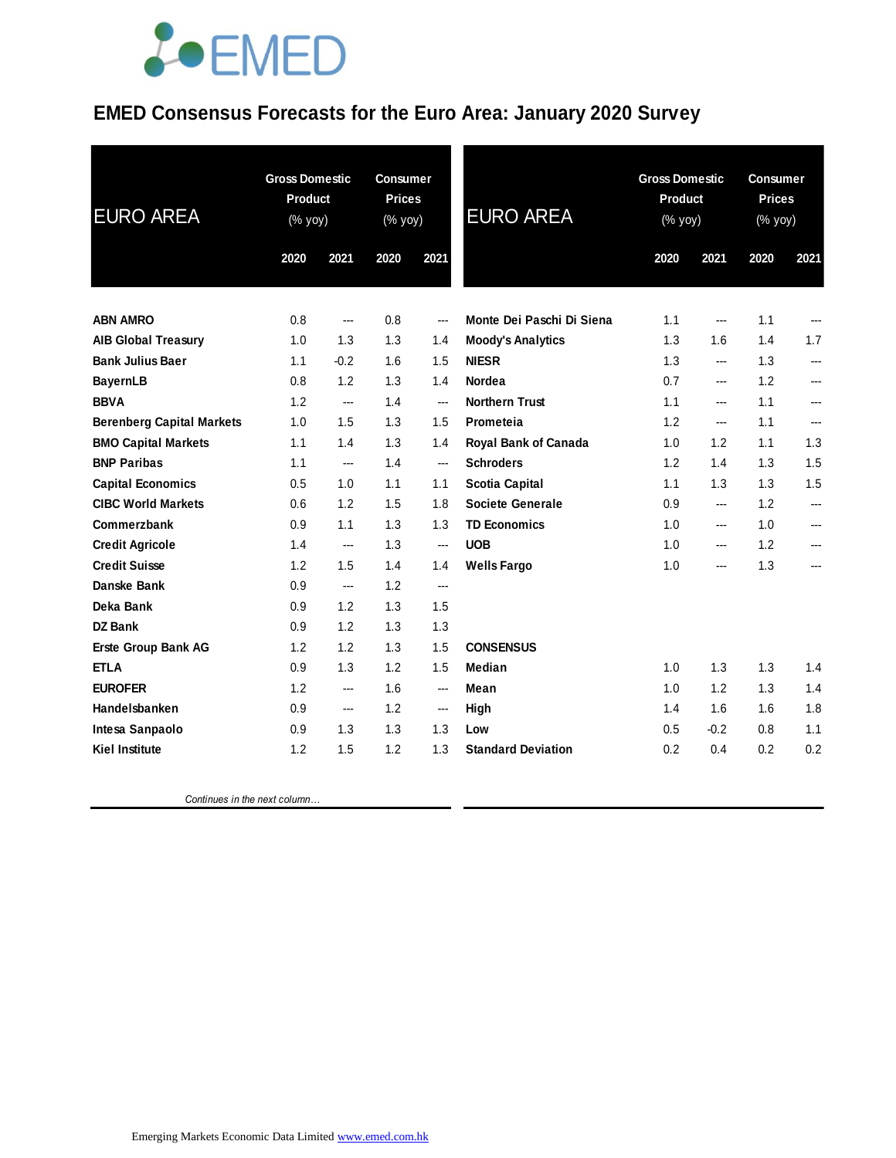## **JOEMED**

### **EMED Consensus Forecasts for the Euro Area: January 2020 Survey**

| <b>EURO AREA</b>                 | <b>Gross Domestic</b><br>Product<br>(% yoy) |        | <b>Consumer</b><br><b>Prices</b><br>(% yoy) |       | <b>Gross Domestic</b><br><b>Product</b><br><b>EURO AREA</b><br>(% yoy) |      |                        | <b>Consumer</b><br><b>Prices</b><br>(% yoy) |                |
|----------------------------------|---------------------------------------------|--------|---------------------------------------------|-------|------------------------------------------------------------------------|------|------------------------|---------------------------------------------|----------------|
|                                  | 2020                                        | 2021   | 2020                                        | 2021  |                                                                        | 2020 | 2021                   | 2020                                        | 2021           |
| <b>ABN AMRO</b>                  | 0.8                                         | ---    | 0.8                                         | ---   | Monte Dei Paschi Di Siena                                              | 1.1  | ---                    | 1.1                                         |                |
| <b>AIB Global Treasury</b>       | 1.0                                         | 1.3    | 1.3                                         | 1.4   | <b>Moody's Analytics</b>                                               | 1.3  | 1.6                    | 1.4                                         | 1.7            |
| <b>Bank Julius Baer</b>          | 1.1                                         | $-0.2$ | 1.6                                         | 1.5   | <b>NIESR</b>                                                           | 1.3  | ---                    | 1.3                                         | ---            |
| <b>BayernLB</b>                  | 0.8                                         | 1.2    | 1.3                                         | 1.4   | Nordea                                                                 | 0.7  | ---                    | 1.2                                         | ---            |
| <b>BBVA</b>                      | 1.2                                         | ---    | 1.4                                         | ---   | <b>Northern Trust</b>                                                  | 1.1  | ---                    | 1.1                                         |                |
| <b>Berenberg Capital Markets</b> | 1.0                                         | 1.5    | 1.3                                         | 1.5   | Prometeia                                                              | 1.2  | $\qquad \qquad \cdots$ | 1.1                                         | $\overline{a}$ |
| <b>BMO Capital Markets</b>       | 1.1                                         | 1.4    | 1.3                                         | 1.4   | <b>Royal Bank of Canada</b>                                            | 1.0  | 1.2                    | 1.1                                         | 1.3            |
| <b>BNP Paribas</b>               | 1.1                                         | ---    | 1.4                                         | $---$ | <b>Schroders</b>                                                       | 1.2  | 1.4                    | 1.3                                         | 1.5            |
| <b>Capital Economics</b>         | 0.5                                         | 1.0    | 1.1                                         | 1.1   | <b>Scotia Capital</b>                                                  | 1.1  | 1.3                    | 1.3                                         | 1.5            |
| <b>CIBC World Markets</b>        | 0.6                                         | 1.2    | 1.5                                         | 1.8   | <b>Societe Generale</b>                                                | 0.9  | ---                    | 1.2                                         | ---            |
| Commerzbank                      | 0.9                                         | 1.1    | 1.3                                         | 1.3   | <b>TD Economics</b>                                                    | 1.0  | ---                    | 1.0                                         | ---            |
| <b>Credit Agricole</b>           | 1.4                                         | ---    | 1.3                                         | ---   | <b>UOB</b>                                                             | 1.0  | ---                    | 1.2                                         | ---            |
| <b>Credit Suisse</b>             | 1.2                                         | 1.5    | 1.4                                         | 1.4   | <b>Wells Fargo</b>                                                     | 1.0  | ---                    | 1.3                                         | ---            |
| Danske Bank                      | 0.9                                         | ---    | 1.2                                         | ---   |                                                                        |      |                        |                                             |                |
| Deka Bank                        | 0.9                                         | 1.2    | 1.3                                         | 1.5   |                                                                        |      |                        |                                             |                |
| <b>DZ Bank</b>                   | 0.9                                         | 1.2    | 1.3                                         | 1.3   |                                                                        |      |                        |                                             |                |
| Erste Group Bank AG              | 1.2                                         | 1.2    | 1.3                                         | 1.5   | <b>CONSENSUS</b>                                                       |      |                        |                                             |                |
| <b>ETLA</b>                      | 0.9                                         | 1.3    | 1.2                                         | 1.5   | Median                                                                 | 1.0  | 1.3                    | 1.3                                         | 1.4            |
| <b>EUROFER</b>                   | 1.2                                         | ---    | 1.6                                         | ---   | Mean                                                                   | 1.0  | 1.2                    | 1.3                                         | 1.4            |
| Handelsbanken                    | 0.9                                         | ---    | 1.2                                         | ---   | High                                                                   | 1.4  | 1.6                    | 1.6                                         | 1.8            |
| Intesa Sanpaolo                  | 0.9                                         | 1.3    | 1.3                                         | 1.3   | Low                                                                    | 0.5  | $-0.2$                 | 0.8                                         | 1.1            |
| <b>Kiel Institute</b>            | 1.2                                         | 1.5    | 1.2                                         | 1.3   | <b>Standard Deviation</b>                                              | 0.2  | 0.4                    | 0.2                                         | 0.2            |
|                                  |                                             |        |                                             |       |                                                                        |      |                        |                                             |                |

 *Continues in the next column…*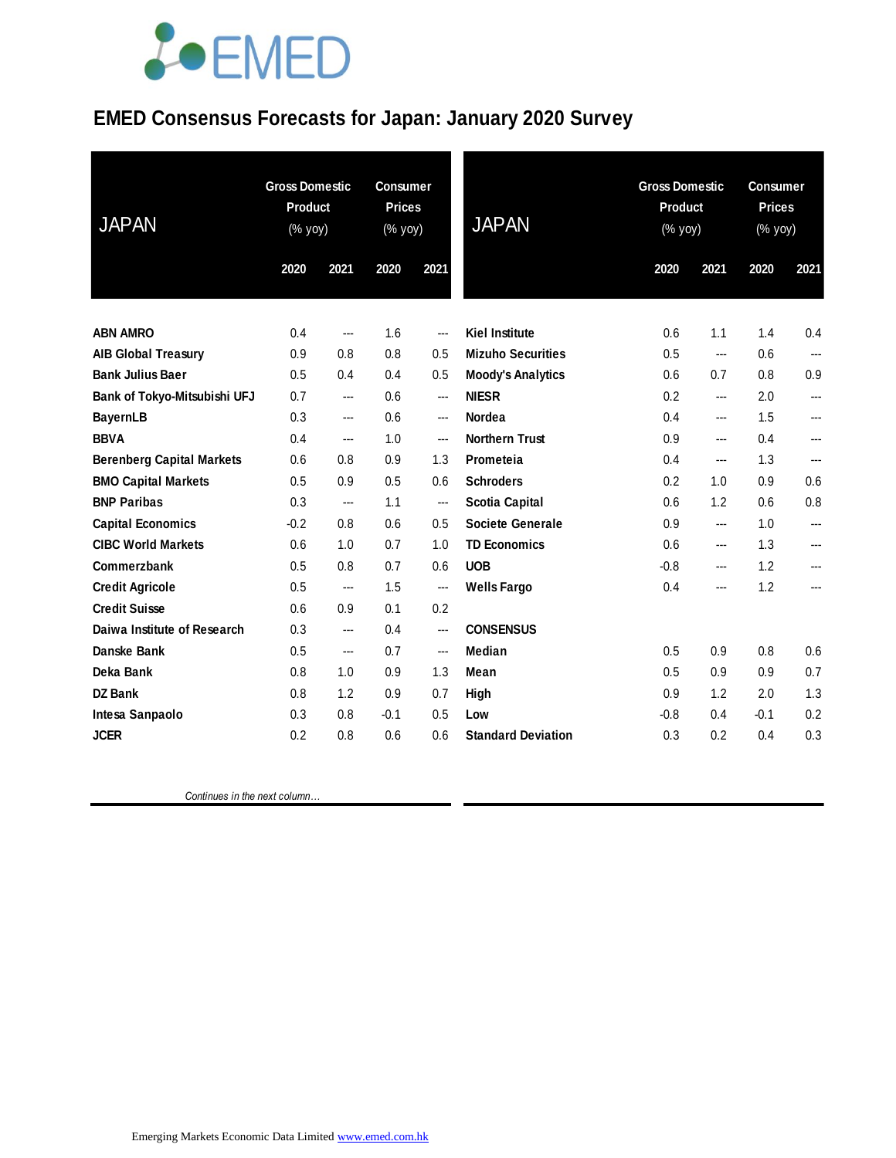# LOEMED

### **EMED Consensus Forecasts for Japan: January 2020 Survey**

| <b>JAPAN</b>                     | <b>Gross Domestic</b><br>Product<br>(% yoy) |      | <b>Consumer</b><br><b>Prices</b><br>(% yoy) |                | <b>JAPAN</b>              |        | <b>Gross Domestic</b><br>Product<br>(% yoy) |        | <b>Consumer</b><br><b>Prices</b><br>(% yoy) |  |
|----------------------------------|---------------------------------------------|------|---------------------------------------------|----------------|---------------------------|--------|---------------------------------------------|--------|---------------------------------------------|--|
|                                  | 2020                                        | 2021 | 2020                                        | 2021           |                           | 2020   | 2021                                        | 2020   | 2021                                        |  |
|                                  |                                             |      |                                             |                |                           |        |                                             |        |                                             |  |
| <b>ABN AMRO</b>                  | 0.4                                         | ---  | 1.6                                         | ---            | <b>Kiel Institute</b>     | 0.6    | 1.1                                         | 1.4    | 0.4                                         |  |
| <b>AIB Global Treasury</b>       | 0.9                                         | 0.8  | 0.8                                         | 0.5            | <b>Mizuho Securities</b>  | 0.5    | ---                                         | 0.6    | ---                                         |  |
| <b>Bank Julius Baer</b>          | 0.5                                         | 0.4  | 0.4                                         | 0.5            | <b>Moody's Analytics</b>  | 0.6    | 0.7                                         | 0.8    | 0.9                                         |  |
| Bank of Tokyo-Mitsubishi UFJ     | 0.7                                         | ---  | 0.6                                         | $\overline{a}$ | <b>NIESR</b>              | 0.2    | ---                                         | 2.0    | ---                                         |  |
| <b>BayernLB</b>                  | 0.3                                         | ---  | 0.6                                         | $\overline{a}$ | Nordea                    | 0.4    | ---                                         | 1.5    | ---                                         |  |
| <b>BBVA</b>                      | 0.4                                         | ---  | 1.0                                         | $\overline{a}$ | <b>Northern Trust</b>     | 0.9    | ---                                         | 0.4    | ---                                         |  |
| <b>Berenberg Capital Markets</b> | 0.6                                         | 0.8  | 0.9                                         | 1.3            | Prometeia                 | 0.4    | ---                                         | 1.3    | ---                                         |  |
| <b>BMO Capital Markets</b>       | 0.5                                         | 0.9  | 0.5                                         | 0.6            | <b>Schroders</b>          | 0.2    | 1.0                                         | 0.9    | 0.6                                         |  |
| <b>BNP Paribas</b>               | 0.3                                         | ---  | 1.1                                         | ---            | <b>Scotia Capital</b>     | 0.6    | 1.2                                         | 0.6    | 0.8                                         |  |
| <b>Capital Economics</b>         | $-0.2$                                      | 0.8  | 0.6                                         | 0.5            | Societe Generale          | 0.9    | ---                                         | 1.0    | ---                                         |  |
| <b>CIBC World Markets</b>        | 0.6                                         | 1.0  | 0.7                                         | 1.0            | <b>TD Economics</b>       | 0.6    | ---                                         | 1.3    | ---                                         |  |
| Commerzbank                      | 0.5                                         | 0.8  | 0.7                                         | 0.6            | <b>UOB</b>                | $-0.8$ | ---                                         | 1.2    | ---                                         |  |
| <b>Credit Agricole</b>           | 0.5                                         | ---  | 1.5                                         | ---            | <b>Wells Fargo</b>        | 0.4    | ---                                         | 1.2    | ---                                         |  |
| <b>Credit Suisse</b>             | 0.6                                         | 0.9  | 0.1                                         | 0.2            |                           |        |                                             |        |                                             |  |
| Daiwa Institute of Research      | 0.3                                         | ---  | 0.4                                         | $\overline{a}$ | <b>CONSENSUS</b>          |        |                                             |        |                                             |  |
| Danske Bank                      | 0.5                                         | ---  | 0.7                                         | $\overline{a}$ | <b>Median</b>             | 0.5    | 0.9                                         | 0.8    | 0.6                                         |  |
| Deka Bank                        | 0.8                                         | 1.0  | 0.9                                         | 1.3            | Mean                      | 0.5    | 0.9                                         | 0.9    | 0.7                                         |  |
| <b>DZ Bank</b>                   | 0.8                                         | 1.2  | 0.9                                         | 0.7            | High                      | 0.9    | 1.2                                         | 2.0    | 1.3                                         |  |
| Intesa Sanpaolo                  | 0.3                                         | 0.8  | $-0.1$                                      | 0.5            | Low                       | $-0.8$ | 0.4                                         | $-0.1$ | 0.2                                         |  |
| <b>JCER</b>                      | 0.2                                         | 0.8  | 0.6                                         | 0.6            | <b>Standard Deviation</b> | 0.3    | 0.2                                         | 0.4    | 0.3                                         |  |

 *Continues in the next column…*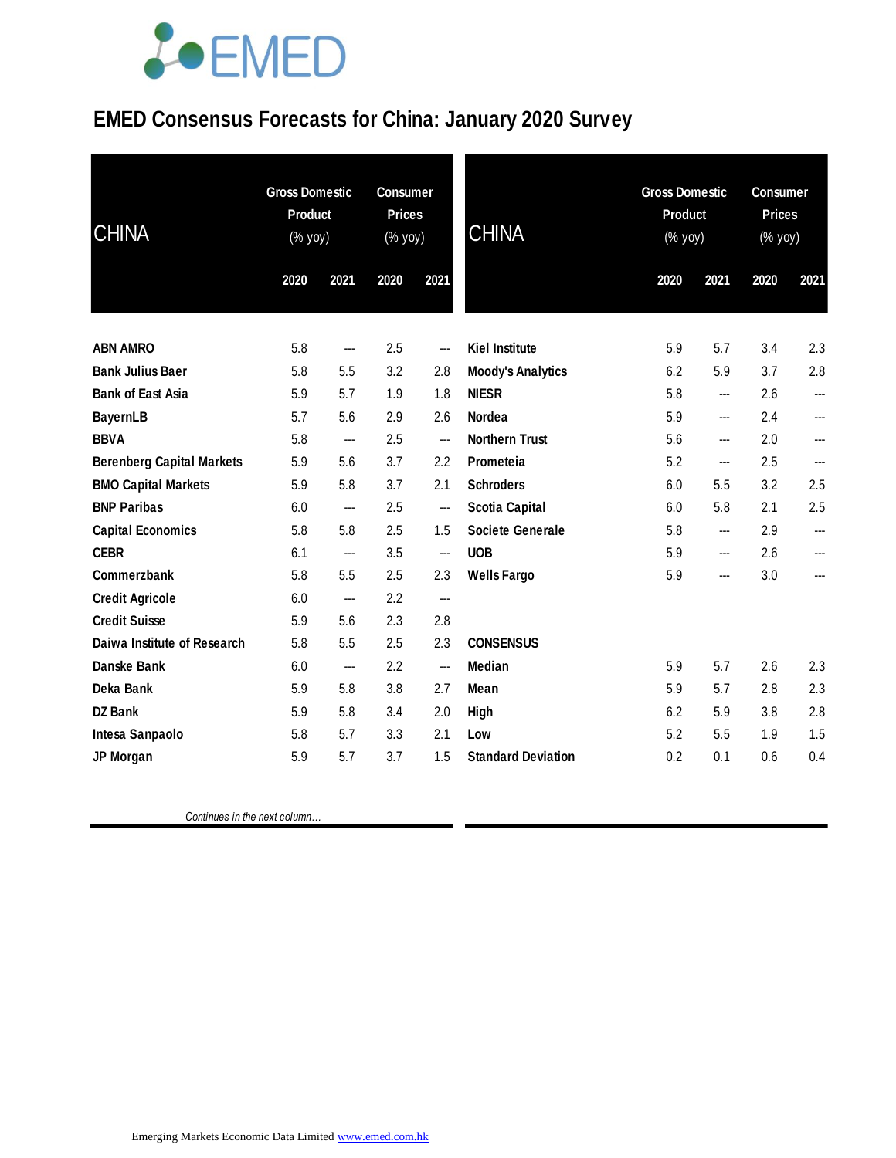# **JOEMED**

### **EMED Consensus Forecasts for China: January 2020 Survey**

| <b>CHINA</b>                     |      | <b>Gross Domestic</b><br><b>Product</b><br>(% yoy) |      | <b>Consumer</b><br><b>Prices</b><br>(% yoy) | <b>CHINA</b>              |      | <b>Gross Domestic</b><br><b>Product</b><br>(% yoy) |      | <b>Consumer</b><br><b>Prices</b><br>$(% \mathsf{Y}^{\prime }\mathsf{Y}^{\prime }\mathsf{Y}^{\prime })$ |  |
|----------------------------------|------|----------------------------------------------------|------|---------------------------------------------|---------------------------|------|----------------------------------------------------|------|--------------------------------------------------------------------------------------------------------|--|
|                                  | 2020 | 2021                                               | 2020 | 2021                                        |                           | 2020 | 2021                                               | 2020 | 2021                                                                                                   |  |
|                                  |      |                                                    |      |                                             |                           |      |                                                    |      |                                                                                                        |  |
| <b>ABN AMRO</b>                  | 5.8  | ---                                                | 2.5  | $\overline{\phantom{a}}$                    | <b>Kiel Institute</b>     | 5.9  | 5.7                                                | 3.4  | 2.3                                                                                                    |  |
| <b>Bank Julius Baer</b>          | 5.8  | 5.5                                                | 3.2  | 2.8                                         | <b>Moody's Analytics</b>  | 6.2  | 5.9                                                | 3.7  | 2.8                                                                                                    |  |
| <b>Bank of East Asia</b>         | 5.9  | 5.7                                                | 1.9  | 1.8                                         | <b>NIESR</b>              | 5.8  | ---                                                | 2.6  | ---                                                                                                    |  |
| <b>BayernLB</b>                  | 5.7  | 5.6                                                | 2.9  | 2.6                                         | <b>Nordea</b>             | 5.9  | ---                                                | 2.4  | ---                                                                                                    |  |
| <b>BBVA</b>                      | 5.8  | ---                                                | 2.5  | $\overline{\phantom{a}}$                    | <b>Northern Trust</b>     | 5.6  | ---                                                | 2.0  | ---                                                                                                    |  |
| <b>Berenberg Capital Markets</b> | 5.9  | 5.6                                                | 3.7  | 2.2                                         | Prometeia                 | 5.2  | ---                                                | 2.5  | ---                                                                                                    |  |
| <b>BMO Capital Markets</b>       | 5.9  | 5.8                                                | 3.7  | 2.1                                         | <b>Schroders</b>          | 6.0  | 5.5                                                | 3.2  | 2.5                                                                                                    |  |
| <b>BNP Paribas</b>               | 6.0  | ---                                                | 2.5  | $\hspace{0.05cm}$                           | <b>Scotia Capital</b>     | 6.0  | 5.8                                                | 2.1  | 2.5                                                                                                    |  |
| <b>Capital Economics</b>         | 5.8  | 5.8                                                | 2.5  | 1.5                                         | <b>Societe Generale</b>   | 5.8  | ---                                                | 2.9  | ---                                                                                                    |  |
| <b>CEBR</b>                      | 6.1  | ---                                                | 3.5  | $\hspace{0.05cm} \cdots$                    | <b>UOB</b>                | 5.9  | ---                                                | 2.6  | $\overline{\phantom{a}}$                                                                               |  |
| Commerzbank                      | 5.8  | 5.5                                                | 2.5  | 2.3                                         | <b>Wells Fargo</b>        | 5.9  | $---$                                              | 3.0  | ---                                                                                                    |  |
| <b>Credit Agricole</b>           | 6.0  | ---                                                | 2.2  | $\overline{a}$                              |                           |      |                                                    |      |                                                                                                        |  |
| <b>Credit Suisse</b>             | 5.9  | 5.6                                                | 2.3  | 2.8                                         |                           |      |                                                    |      |                                                                                                        |  |
| Daiwa Institute of Research      | 5.8  | 5.5                                                | 2.5  | 2.3                                         | <b>CONSENSUS</b>          |      |                                                    |      |                                                                                                        |  |
| Danske Bank                      | 6.0  | ---                                                | 2.2  | ---                                         | <b>Median</b>             | 5.9  | 5.7                                                | 2.6  | 2.3                                                                                                    |  |
| Deka Bank                        | 5.9  | 5.8                                                | 3.8  | 2.7                                         | Mean                      | 5.9  | 5.7                                                | 2.8  | 2.3                                                                                                    |  |
| <b>DZ Bank</b>                   | 5.9  | 5.8                                                | 3.4  | 2.0                                         | High                      | 6.2  | 5.9                                                | 3.8  | 2.8                                                                                                    |  |
| Intesa Sanpaolo                  | 5.8  | 5.7                                                | 3.3  | 2.1                                         | Low                       | 5.2  | 5.5                                                | 1.9  | 1.5                                                                                                    |  |
| JP Morgan                        | 5.9  | 5.7                                                | 3.7  | 1.5                                         | <b>Standard Deviation</b> | 0.2  | 0.1                                                | 0.6  | 0.4                                                                                                    |  |

 *Continues in the next column…*